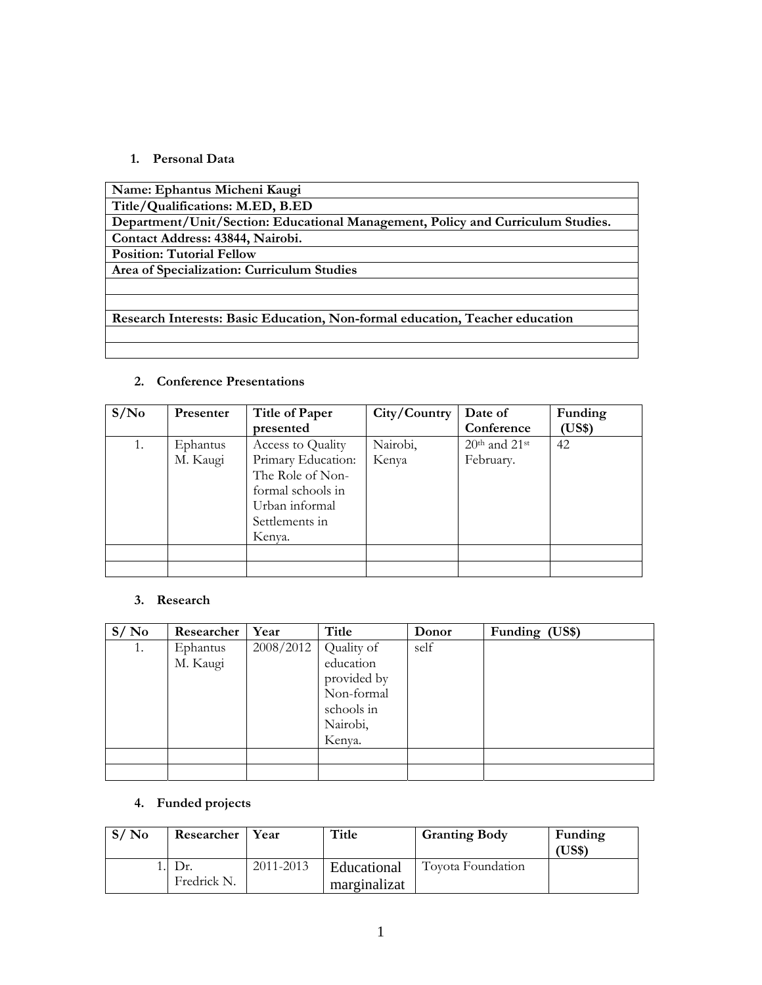### **1. Personal Data**

#### **2. Conference Presentations**

| S/N <sub>0</sub> | <b>Presenter</b> | <b>Title of Paper</b> | City/Country | Date of           | Funding |
|------------------|------------------|-----------------------|--------------|-------------------|---------|
|                  |                  | presented             |              | Conference        | US\$)   |
| 1.               | Ephantus         | Access to Quality     | Nairobi,     | $20th$ and $21st$ | 42      |
|                  | M. Kaugi         | Primary Education:    | Kenya        | February.         |         |
|                  |                  | The Role of Non-      |              |                   |         |
|                  |                  | formal schools in     |              |                   |         |
|                  |                  | Urban informal        |              |                   |         |
|                  |                  | Settlements in        |              |                   |         |
|                  |                  | Kenva.                |              |                   |         |
|                  |                  |                       |              |                   |         |
|                  |                  |                       |              |                   |         |

### **3. Research**

| S/No | Researcher | Year      | Title       | Donor | Funding (US\$) |
|------|------------|-----------|-------------|-------|----------------|
| 1.   | Ephantus   | 2008/2012 | Quality of  | self  |                |
|      | M. Kaugi   |           | education   |       |                |
|      |            |           | provided by |       |                |
|      |            |           | Non-formal  |       |                |
|      |            |           | schools in  |       |                |
|      |            |           | Nairobi,    |       |                |
|      |            |           | Kenya.      |       |                |
|      |            |           |             |       |                |
|      |            |           |             |       |                |

## **4. Funded projects**

| S/No | Researcher  | Year      | Title                       | <b>Granting Body</b> | Funding<br>US\$` |
|------|-------------|-----------|-----------------------------|----------------------|------------------|
|      | Fredrick N. | 2011-2013 | Educational<br>marginalizat | Toyota Foundation    |                  |